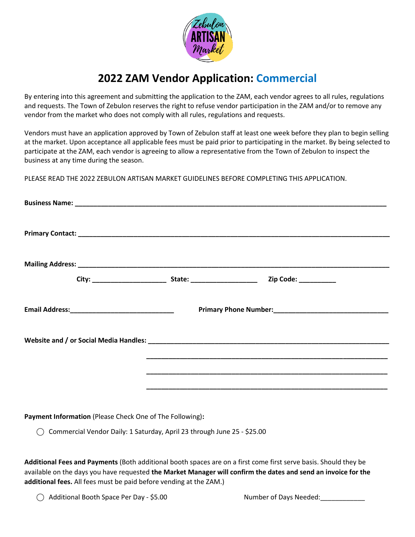

## **2022 ZAM Vendor Application: Commercial**

By entering into this agreement and submitting the application to the ZAM, each vendor agrees to all rules, regulations and requests. The Town of Zebulon reserves the right to refuse vendor participation in the ZAM and/or to remove any vendor from the market who does not comply with all rules, regulations and requests.

Vendors must have an application approved by Town of Zebulon staff at least one week before they plan to begin selling at the market. Upon acceptance all applicable fees must be paid prior to participating in the market. By being selected to participate at the ZAM, each vendor is agreeing to allow a representative from the Town of Zebulon to inspect the business at any time during the season.

PLEASE READ THE 2022 ZEBULON ARTISAN MARKET GUIDELINES BEFORE COMPLETING THIS APPLICATION.

|  | <u> 1989 - Johann Harry Harry Harry Harry Harry Harry Harry Harry Harry Harry Harry Harry Harry Harry Harry Harry</u> |  |
|--|-----------------------------------------------------------------------------------------------------------------------|--|
|  |                                                                                                                       |  |
|  |                                                                                                                       |  |

**Payment Information** (Please Check One of The Following)**:**

⃝ Commercial Vendor Daily: 1 Saturday, April 23 through June 25 - \$25.00

**Additional Fees and Payments** (Both additional booth spaces are on a first come first serve basis. Should they be available on the days you have requested **the Market Manager will confirm the dates and send an invoice for the additional fees.** All fees must be paid before vending at the ZAM.)

⃝ Additional Booth Space Per Day - \$5.00 Number of Days Needed:\_\_\_\_\_\_\_\_\_\_\_\_